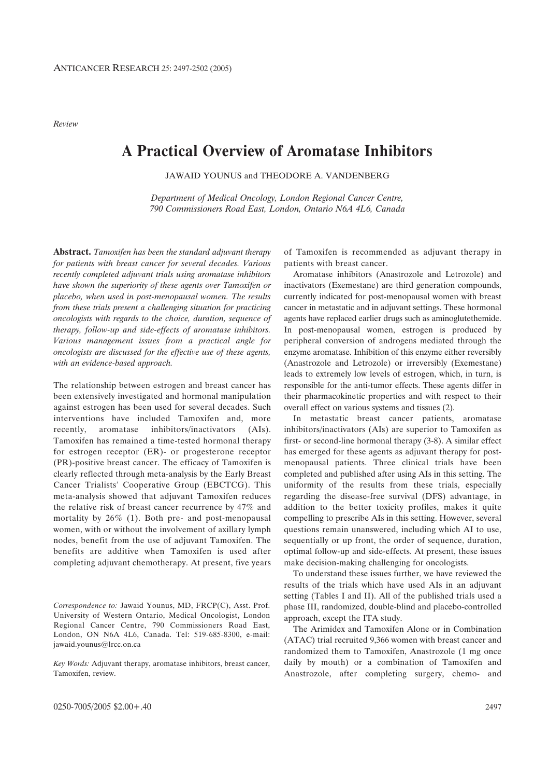*Review*

# **A Practical Overview of Aromatase Inhibitors**

JAWAID YOUNUS and THEODORE A. VANDENBERG

*Department of Medical Oncology, London Regional Cancer Centre, 790 Commissioners Road East, London, Ontario N6A 4L6, Canada*

**Abstract.** *Tamoxifen has been the standard adjuvant therapy for patients with breast cancer for several decades. Various recently completed adjuvant trials using aromatase inhibitors have shown the superiority of these agents over Tamoxifen or placebo, when used in post-menopausal women. The results from these trials present a challenging situation for practicing oncologists with regards to the choice, duration, sequence of therapy, follow-up and side-effects of aromatase inhibitors. Various management issues from a practical angle for oncologists are discussed for the effective use of these agents, with an evidence-based approach.* 

The relationship between estrogen and breast cancer has been extensively investigated and hormonal manipulation against estrogen has been used for several decades. Such interventions have included Tamoxifen and, more recently, aromatase inhibitors/inactivators (AIs). Tamoxifen has remained a time-tested hormonal therapy for estrogen receptor (ER)- or progesterone receptor (PR)-positive breast cancer. The efficacy of Tamoxifen is clearly reflected through meta-analysis by the Early Breast Cancer Trialists' Cooperative Group (EBCTCG). This meta-analysis showed that adjuvant Tamoxifen reduces the relative risk of breast cancer recurrence by 47% and mortality by 26% (1). Both pre- and post-menopausal women, with or without the involvement of axillary lymph nodes, benefit from the use of adjuvant Tamoxifen. The benefits are additive when Tamoxifen is used after completing adjuvant chemotherapy. At present, five years

*Correspondence to:* Jawaid Younus, MD, FRCP(C), Asst. Prof. University of Western Ontario, Medical Oncologist, London Regional Cancer Centre, 790 Commissioners Road East, London, ON N6A 4L6, Canada. Tel: 519-685-8300, e-mail: jawaid.younus@lrcc.on.ca

*Key Words:* Adjuvant therapy, aromatase inhibitors, breast cancer, Tamoxifen, review.

of Tamoxifen is recommended as adjuvant therapy in patients with breast cancer.

Aromatase inhibitors (Anastrozole and Letrozole) and inactivators (Exemestane) are third generation compounds, currently indicated for post-menopausal women with breast cancer in metastatic and in adjuvant settings. These hormonal agents have replaced earlier drugs such as aminoglutethemide. In post-menopausal women, estrogen is produced by peripheral conversion of androgens mediated through the enzyme aromatase. Inhibition of this enzyme either reversibly (Anastrozole and Letrozole) or irreversibly (Exemestane) leads to extremely low levels of estrogen, which, in turn, is responsible for the anti-tumor effects. These agents differ in their pharmacokinetic properties and with respect to their overall effect on various systems and tissues (2).

In metastatic breast cancer patients, aromatase inhibitors/inactivators (AIs) are superior to Tamoxifen as first- or second-line hormonal therapy (3-8). A similar effect has emerged for these agents as adjuvant therapy for postmenopausal patients. Three clinical trials have been completed and published after using AIs in this setting. The uniformity of the results from these trials, especially regarding the disease-free survival (DFS) advantage, in addition to the better toxicity profiles, makes it quite compelling to prescribe AIs in this setting. However, several questions remain unanswered, including which AI to use, sequentially or up front, the order of sequence, duration, optimal follow-up and side-effects. At present, these issues make decision-making challenging for oncologists.

To understand these issues further, we have reviewed the results of the trials which have used AIs in an adjuvant setting (Tables I and II). All of the published trials used a phase III, randomized, double-blind and placebo-controlled approach, except the ITA study.

The Arimidex and Tamoxifen Alone or in Combination (ATAC) trial recruited 9,366 women with breast cancer and randomized them to Tamoxifen, Anastrozole (1 mg once daily by mouth) or a combination of Tamoxifen and Anastrozole, after completing surgery, chemo- and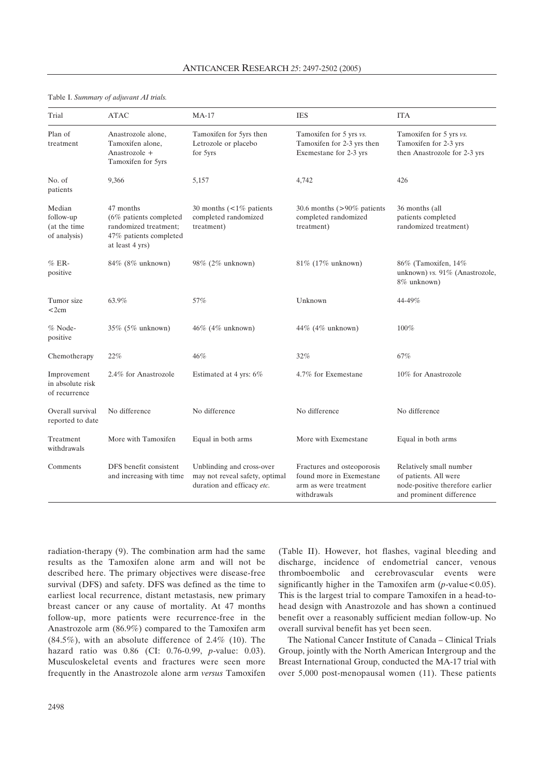#### Table I. *Summary of adjuvant AI trials.*

| Trial                                               | <b>ATAC</b>                                                                                                  | $MA-17$                                                                                   | <b>IES</b>                                                                                     | <b>ITA</b>                                                                                                      |
|-----------------------------------------------------|--------------------------------------------------------------------------------------------------------------|-------------------------------------------------------------------------------------------|------------------------------------------------------------------------------------------------|-----------------------------------------------------------------------------------------------------------------|
| Plan of<br>treatment                                | Anastrozole alone,<br>Tamoxifen alone,<br>Anastrozole +<br>Tamoxifen for 5yrs                                | Tamoxifen for 5yrs then<br>Letrozole or placebo<br>for 5yrs                               | Tamoxifen for 5 yrs vs.<br>Tamoxifen for 2-3 yrs then<br>Exemestane for 2-3 yrs                | Tamoxifen for 5 yrs vs.<br>Tamoxifen for 2-3 yrs<br>then Anastrozole for 2-3 yrs                                |
| No. of<br>patients                                  | 9,366                                                                                                        | 5,157                                                                                     | 4,742                                                                                          | 426                                                                                                             |
| Median<br>follow-up<br>(at the time<br>of analysis) | 47 months<br>$(6\%$ patients completed<br>randomized treatment;<br>47% patients completed<br>at least 4 yrs) | 30 months $\left($ < 1% patients<br>completed randomized<br>treatment)                    | 30.6 months $(>90\%$ patients<br>completed randomized<br>treatment)                            | 36 months (all<br>patients completed<br>randomized treatment)                                                   |
| $%ER-$<br>positive                                  | 84% (8% unknown)                                                                                             | 98% (2% unknown)                                                                          | 81% (17% unknown)                                                                              | 86% (Tamoxifen, 14%<br>unknown) vs. 91% (Anastrozole,<br>8% unknown)                                            |
| Tumor size<br>$<$ 2 $cm$                            | 63.9%                                                                                                        | 57%                                                                                       | Unknown                                                                                        | 44-49%                                                                                                          |
| % Node-<br>positive                                 | 35% (5% unknown)                                                                                             | $46\%$ (4\% unknown)                                                                      | $44\%$ (4\% unknown)                                                                           | 100%                                                                                                            |
| Chemotherapy                                        | 22%                                                                                                          | 46%                                                                                       | 32%                                                                                            | 67%                                                                                                             |
| Improvement<br>in absolute risk<br>of recurrence    | 2.4% for Anastrozole                                                                                         | Estimated at 4 yrs: 6%                                                                    | 4.7% for Exemestane                                                                            | 10% for Anastrozole                                                                                             |
| Overall survival<br>reported to date                | No difference                                                                                                | No difference                                                                             | No difference                                                                                  | No difference                                                                                                   |
| Treatment<br>withdrawals                            | More with Tamoxifen                                                                                          | Equal in both arms                                                                        | More with Exemestane                                                                           | Equal in both arms                                                                                              |
| Comments                                            | DFS benefit consistent<br>and increasing with time                                                           | Unblinding and cross-over<br>may not reveal safety, optimal<br>duration and efficacy etc. | Fractures and osteoporosis<br>found more in Exemestane<br>arm as were treatment<br>withdrawals | Relatively small number<br>of patients. All were<br>node-positive therefore earlier<br>and prominent difference |

radiation-therapy (9). The combination arm had the same results as the Tamoxifen alone arm and will not be described here. The primary objectives were disease-free survival (DFS) and safety. DFS was defined as the time to earliest local recurrence, distant metastasis, new primary breast cancer or any cause of mortality. At 47 months follow-up, more patients were recurrence-free in the Anastrozole arm (86.9%) compared to the Tamoxifen arm  $(84.5\%)$ , with an absolute difference of 2.4% (10). The hazard ratio was 0.86 (CI: 0.76-0.99, *p*-value: 0.03). Musculoskeletal events and fractures were seen more frequently in the Anastrozole alone arm *versus* Tamoxifen

(Table II). However, hot flashes, vaginal bleeding and discharge, incidence of endometrial cancer, venous thromboembolic and cerebrovascular events were significantly higher in the Tamoxifen arm  $(p$ -value < 0.05). This is the largest trial to compare Tamoxifen in a head-tohead design with Anastrozole and has shown a continued benefit over a reasonably sufficient median follow-up. No overall survival benefit has yet been seen.

The National Cancer Institute of Canada – Clinical Trials Group, jointly with the North American Intergroup and the Breast International Group, conducted the MA-17 trial with over 5,000 post-menopausal women (11). These patients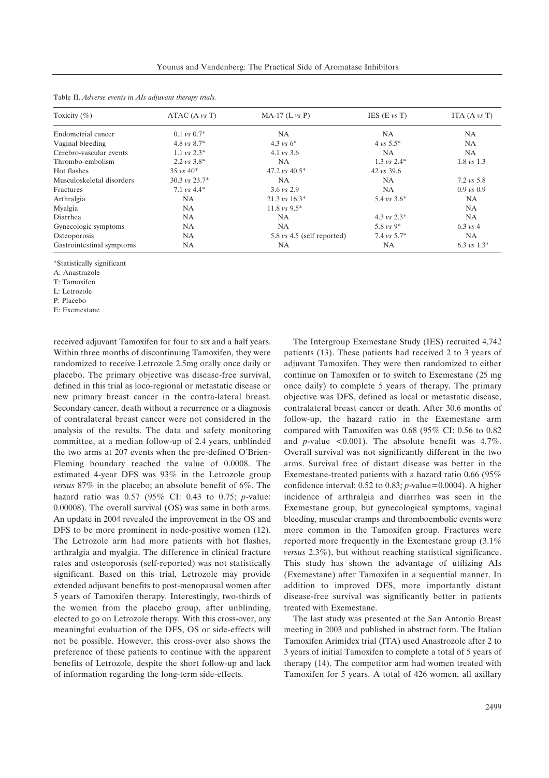| Toxicity $(\%)$           | ATAC (A vs T)             | $MA-17$ (L $vs$ P)                            | IES $(E \nu s T)$       | ITA $(A \nu s T)$     |
|---------------------------|---------------------------|-----------------------------------------------|-------------------------|-----------------------|
| Endometrial cancer        | $0.1 \text{ vs } 0.7^*$   | NA                                            | NA.                     | NA.                   |
| Vaginal bleeding          | 4.8 $\nu$ s 8.7*          | 4.3 vs $6^*$                                  | $4 \text{ vs } 5.5^*$   | <b>NA</b>             |
| Cerebro-vascular events   | $1.1 \text{ vs } 2.3^*$   | 4.1 $\text{vs } 3.6$                          | <b>NA</b>               | <b>NA</b>             |
| Thrombo-embolism          | $2.2 \text{ vs } 3.8^*$   | <b>NA</b>                                     | $1.3 \text{ vs } 2.4^*$ | $1.8 \text{ vs } 1.3$ |
| Hot flashes               | $35 \text{ vs } 40^*$     | 47.2 vs $40.5*$                               | $42 \text{ vs } 39.6$   |                       |
| Musculoskeletal disorders | $30.3 \text{ vs } 23.7^*$ | NA                                            | <b>NA</b>               | $7.2 \text{ vs } 5.8$ |
| Fractures                 | 7.1 $vs$ 4.4*             | $3.6 \text{ vs } 2.9$                         | <b>NA</b>               | $0.9 \text{ vs } 0.9$ |
| Arthralgia                | NA                        | $21.3 \text{ vs } 16.3^*$                     | 5.4 $vs$ 3.6*           | <b>NA</b>             |
| Myalgia                   | <b>NA</b>                 | $11.8 \text{ vs } 9.5^*$                      |                         | <b>NA</b>             |
| Diarrhea                  | <b>NA</b>                 | <b>NA</b>                                     | 4.3 $vs$ 2.3*           | <b>NA</b>             |
| Gynecologic symptoms      | NA.                       | <b>NA</b>                                     | 5.8 $vs$ 9*             | 6.3 $vs$ 4            |
| Osteoporosis              | NA.                       | $5.8 \text{ vs } 4.5 \text{ (self reported)}$ | 7.4 $vs$ 5.7*           | <b>NA</b>             |
| Gastrointestinal symptoms | NA                        | NA                                            | <b>NA</b>               | 6.3 vs $1.3*$         |

Table II. *Adverse events in AIs adjuvant therapy trials.*

\*Statistically significant

A: Anastrazole

T: Tamoxifen

L: Letrozole

P: Placebo

E: Exemestane

received adjuvant Tamoxifen for four to six and a half years. Within three months of discontinuing Tamoxifen, they were randomized to receive Letrozole 2.5mg orally once daily or placebo. The primary objective was disease-free survival, defined in this trial as loco-regional or metastatic disease or new primary breast cancer in the contra-lateral breast. Secondary cancer, death without a recurrence or a diagnosis of contralateral breast cancer were not considered in the analysis of the results. The data and safety monitoring committee, at a median follow-up of 2.4 years, unblinded the two arms at 207 events when the pre-defined O'Brien-Fleming boundary reached the value of 0.0008. The estimated 4-year DFS was 93% in the Letrozole group *versus* 87% in the placebo; an absolute benefit of 6%. The hazard ratio was 0.57 (95% CI: 0.43 to 0.75; *p*-value: 0.00008). The overall survival (OS) was same in both arms. An update in 2004 revealed the improvement in the OS and DFS to be more prominent in node-positive women (12). The Letrozole arm had more patients with hot flashes, arthralgia and myalgia. The difference in clinical fracture rates and osteoporosis (self-reported) was not statistically significant. Based on this trial, Letrozole may provide extended adjuvant benefits to post-menopausal women after 5 years of Tamoxifen therapy. Interestingly, two-thirds of the women from the placebo group, after unblinding, elected to go on Letrozole therapy. With this cross-over, any meaningful evaluation of the DFS, OS or side-effects will not be possible. However, this cross-over also shows the preference of these patients to continue with the apparent benefits of Letrozole, despite the short follow-up and lack of information regarding the long-term side-effects.

The Intergroup Exemestane Study (IES) recruited 4,742 patients (13). These patients had received 2 to 3 years of adjuvant Tamoxifen. They were then randomized to either continue on Tamoxifen or to switch to Exemestane (25 mg once daily) to complete 5 years of therapy. The primary objective was DFS, defined as local or metastatic disease, contralateral breast cancer or death. After 30.6 months of follow-up, the hazard ratio in the Exemestane arm compared with Tamoxifen was 0.68 (95% CI: 0.56 to 0.82 and *p*-value  $\leq 0.001$ ). The absolute benefit was  $4.7\%$ . Overall survival was not significantly different in the two arms. Survival free of distant disease was better in the Exemestane-treated patients with a hazard ratio 0.66 (95% confidence interval: 0.52 to 0.83; *p*-value=0.0004). A higher incidence of arthralgia and diarrhea was seen in the Exemestane group, but gynecological symptoms, vaginal bleeding, muscular cramps and thromboembolic events were more common in the Tamoxifen group. Fractures were reported more frequently in the Exemestane group (3.1% *versus* 2.3%), but without reaching statistical significance. This study has shown the advantage of utilizing AIs (Exemestane) after Tamoxifen in a sequential manner. In addition to improved DFS, more importantly distant disease-free survival was significantly better in patients treated with Exemestane.

The last study was presented at the San Antonio Breast meeting in 2003 and published in abstract form. The Italian Tamoxifen Arimidex trial (ITA) used Anastrozole after 2 to 3 years of initial Tamoxifen to complete a total of 5 years of therapy (14). The competitor arm had women treated with Tamoxifen for 5 years. A total of 426 women, all axillary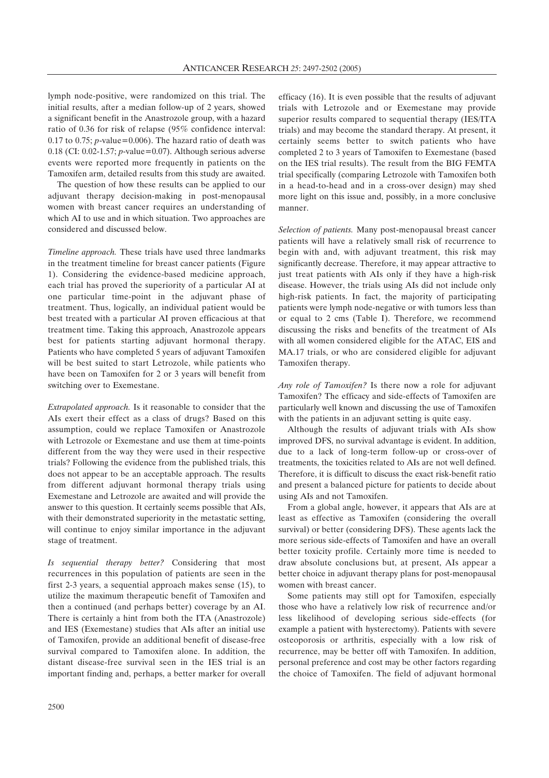lymph node-positive, were randomized on this trial. The initial results, after a median follow-up of 2 years, showed a significant benefit in the Anastrozole group, with a hazard ratio of 0.36 for risk of relapse (95% confidence interval: 0.17 to 0.75;  $p$ -value=0.006). The hazard ratio of death was 0.18 (CI: 0.02-1.57; *p*-value=0.07). Although serious adverse events were reported more frequently in patients on the Tamoxifen arm, detailed results from this study are awaited.

The question of how these results can be applied to our adjuvant therapy decision-making in post-menopausal women with breast cancer requires an understanding of which AI to use and in which situation. Two approaches are considered and discussed below.

*Timeline approach.* These trials have used three landmarks in the treatment timeline for breast cancer patients (Figure 1). Considering the evidence-based medicine approach, each trial has proved the superiority of a particular AI at one particular time-point in the adjuvant phase of treatment. Thus, logically, an individual patient would be best treated with a particular AI proven efficacious at that treatment time. Taking this approach, Anastrozole appears best for patients starting adjuvant hormonal therapy. Patients who have completed 5 years of adjuvant Tamoxifen will be best suited to start Letrozole, while patients who have been on Tamoxifen for 2 or 3 years will benefit from switching over to Exemestane.

*Extrapolated approach.* Is it reasonable to consider that the AIs exert their effect as a class of drugs? Based on this assumption, could we replace Tamoxifen or Anastrozole with Letrozole or Exemestane and use them at time-points different from the way they were used in their respective trials? Following the evidence from the published trials, this does not appear to be an acceptable approach. The results from different adjuvant hormonal therapy trials using Exemestane and Letrozole are awaited and will provide the answer to this question. It certainly seems possible that AIs, with their demonstrated superiority in the metastatic setting, will continue to enjoy similar importance in the adjuvant stage of treatment.

*Is sequential therapy better?* Considering that most recurrences in this population of patients are seen in the first 2-3 years, a sequential approach makes sense (15), to utilize the maximum therapeutic benefit of Tamoxifen and then a continued (and perhaps better) coverage by an AI. There is certainly a hint from both the ITA (Anastrozole) and IES (Exemestane) studies that AIs after an initial use of Tamoxifen, provide an additional benefit of disease-free survival compared to Tamoxifen alone. In addition, the distant disease-free survival seen in the IES trial is an important finding and, perhaps, a better marker for overall

efficacy (16). It is even possible that the results of adjuvant trials with Letrozole and or Exemestane may provide superior results compared to sequential therapy (IES/ITA trials) and may become the standard therapy. At present, it certainly seems better to switch patients who have completed 2 to 3 years of Tamoxifen to Exemestane (based on the IES trial results). The result from the BIG FEMTA trial specifically (comparing Letrozole with Tamoxifen both in a head-to-head and in a cross-over design) may shed more light on this issue and, possibly, in a more conclusive manner.

*Selection of patients.* Many post-menopausal breast cancer patients will have a relatively small risk of recurrence to begin with and, with adjuvant treatment, this risk may significantly decrease. Therefore, it may appear attractive to just treat patients with AIs only if they have a high-risk disease. However, the trials using AIs did not include only high-risk patients. In fact, the majority of participating patients were lymph node-negative or with tumors less than or equal to 2 cms (Table I). Therefore, we recommend discussing the risks and benefits of the treatment of AIs with all women considered eligible for the ATAC, EIS and MA.17 trials, or who are considered eligible for adjuvant Tamoxifen therapy.

*Any role of Tamoxifen?* Is there now a role for adjuvant Tamoxifen? The efficacy and side-effects of Tamoxifen are particularly well known and discussing the use of Tamoxifen with the patients in an adjuvant setting is quite easy.

Although the results of adjuvant trials with AIs show improved DFS, no survival advantage is evident. In addition, due to a lack of long-term follow-up or cross-over of treatments, the toxicities related to AIs are not well defined. Therefore, it is difficult to discuss the exact risk-benefit ratio and present a balanced picture for patients to decide about using AIs and not Tamoxifen.

From a global angle, however, it appears that AIs are at least as effective as Tamoxifen (considering the overall survival) or better (considering DFS). These agents lack the more serious side-effects of Tamoxifen and have an overall better toxicity profile. Certainly more time is needed to draw absolute conclusions but, at present, AIs appear a better choice in adjuvant therapy plans for post-menopausal women with breast cancer.

Some patients may still opt for Tamoxifen, especially those who have a relatively low risk of recurrence and/or less likelihood of developing serious side-effects (for example a patient with hysterectomy). Patients with severe osteoporosis or arthritis, especially with a low risk of recurrence, may be better off with Tamoxifen. In addition, personal preference and cost may be other factors regarding the choice of Tamoxifen. The field of adjuvant hormonal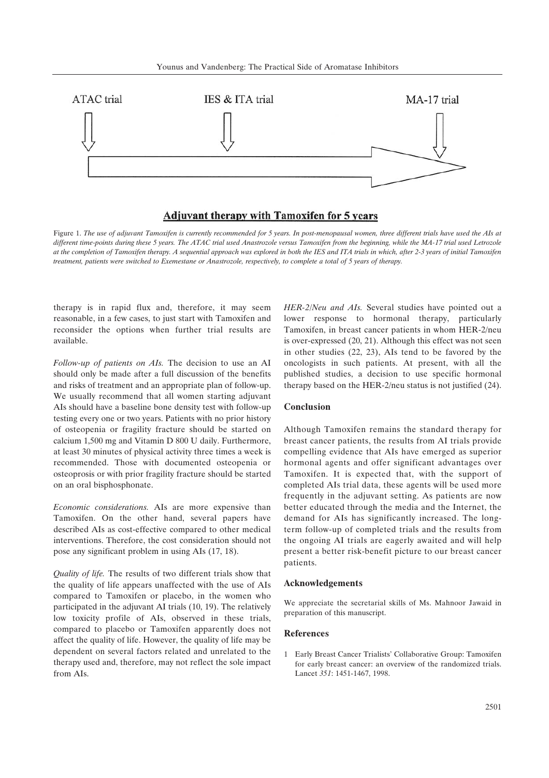

## **Adjuvant therapy with Tamoxifen for 5 years**

Figure 1. *The use of adjuvant Tamoxifen is currently recommended for 5 years. In post-menopausal women, three different trials have used the AIs at different time-points during these 5 years. The ATAC trial used Anastrozole versus Tamoxifen from the beginning, while the MA-17 trial used Letrozole at the completion of Tamoxifen therapy. A sequential approach was explored in both the IES and ITA trials in which, after 2-3 years of initial Tamoxifen treatment, patients were switched to Exemestane or Anastrozole, respectively, to complete a total of 5 years of therapy.* 

therapy is in rapid flux and, therefore, it may seem reasonable, in a few cases, to just start with Tamoxifen and reconsider the options when further trial results are available.

*Follow-up of patients on AIs.* The decision to use an AI should only be made after a full discussion of the benefits and risks of treatment and an appropriate plan of follow-up. We usually recommend that all women starting adjuvant AIs should have a baseline bone density test with follow-up testing every one or two years. Patients with no prior history of osteopenia or fragility fracture should be started on calcium 1,500 mg and Vitamin D 800 U daily. Furthermore, at least 30 minutes of physical activity three times a week is recommended. Those with documented osteopenia or osteoprosis or with prior fragility fracture should be started on an oral bisphosphonate.

*Economic considerations.* AIs are more expensive than Tamoxifen. On the other hand, several papers have described AIs as cost-effective compared to other medical interventions. Therefore, the cost consideration should not pose any significant problem in using AIs (17, 18).

*Quality of life.* The results of two different trials show that the quality of life appears unaffected with the use of AIs compared to Tamoxifen or placebo, in the women who participated in the adjuvant AI trials (10, 19). The relatively low toxicity profile of AIs, observed in these trials, compared to placebo or Tamoxifen apparently does not affect the quality of life. However, the quality of life may be dependent on several factors related and unrelated to the therapy used and, therefore, may not reflect the sole impact from AIs.

*HER-2/Neu and AIs.* Several studies have pointed out a lower response to hormonal therapy, particularly Tamoxifen, in breast cancer patients in whom HER-2/neu is over-expressed (20, 21). Although this effect was not seen in other studies (22, 23), AIs tend to be favored by the oncologists in such patients. At present, with all the published studies, a decision to use specific hormonal therapy based on the HER-2/neu status is not justified (24).

#### **Conclusion**

Although Tamoxifen remains the standard therapy for breast cancer patients, the results from AI trials provide compelling evidence that AIs have emerged as superior hormonal agents and offer significant advantages over Tamoxifen. It is expected that, with the support of completed AIs trial data, these agents will be used more frequently in the adjuvant setting. As patients are now better educated through the media and the Internet, the demand for AIs has significantly increased. The longterm follow-up of completed trials and the results from the ongoing AI trials are eagerly awaited and will help present a better risk-benefit picture to our breast cancer patients.

### **Acknowledgements**

We appreciate the secretarial skills of Ms. Mahnoor Jawaid in preparation of this manuscript.

#### **References**

1 Early Breast Cancer Trialists' Collaborative Group: Tamoxifen for early breast cancer: an overview of the randomized trials. Lancet *351*: 1451-1467, 1998.